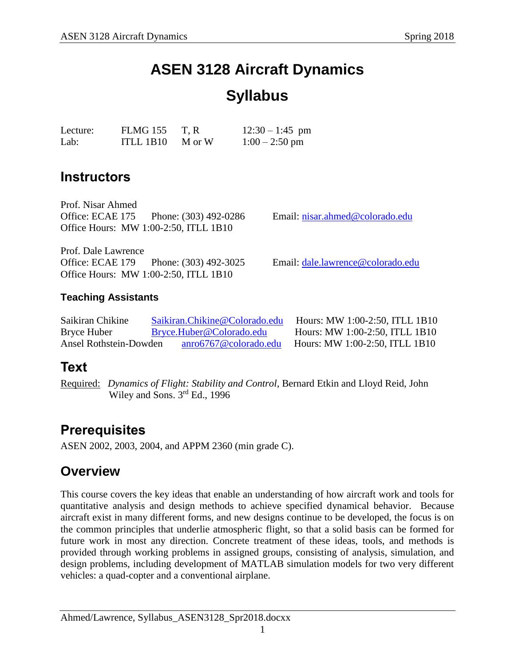# **ASEN 3128 Aircraft Dynamics**

# **Syllabus**

| Lecture: | FLMG 155                        | T, R | $12:30 - 1:45$ pm |
|----------|---------------------------------|------|-------------------|
| Lab:     | ITLL 1B10 $\blacksquare$ M or W |      | $1:00 - 2:50$ pm  |

### **Instructors**

Prof. Nisar Ahmed Office: ECAE 175 Phone: (303) 492-0286 Email: [nisar.ahmed@colorado.edu](mailto:nisar.ahmed@colorado.edu) Office Hours: MW 1:00-2:50, ITLL 1B10

Prof. Dale Lawrence Office: ECAE 179 Phone: (303) 492-3025 Email: [dale.lawrence@colorado.edu](mailto:dale.lawrence@colorado.edu) Office Hours: MW 1:00-2:50, ITLL 1B10

### **Teaching Assistants**

| Saikiran Chikine       | Saikiran. Chikine @ Colorado.edu | Hours: MW 1:00-2:50, ITLL 1B10   |
|------------------------|----------------------------------|----------------------------------|
| Bryce Huber            | Bryce.Huber@Colorado.edu         | Hours: MW 1:00-2:50, ITLL 1B10   |
| Ansel Rothstein-Dowden | anro6767@colorado.edu            | Hours: MW 1:00-2:50, ITLL $1B10$ |

### **Text**

Required: *Dynamics of Flight: Stability and Control,* Bernard Etkin and Lloyd Reid, John Wiley and Sons. 3<sup>rd</sup> Ed., 1996

### **Prerequisites**

ASEN 2002, 2003, 2004, and APPM 2360 (min grade C).

### **Overview**

This course covers the key ideas that enable an understanding of how aircraft work and tools for quantitative analysis and design methods to achieve specified dynamical behavior. Because aircraft exist in many different forms, and new designs continue to be developed, the focus is on the common principles that underlie atmospheric flight, so that a solid basis can be formed for future work in most any direction. Concrete treatment of these ideas, tools, and methods is provided through working problems in assigned groups, consisting of analysis, simulation, and design problems, including development of MATLAB simulation models for two very different vehicles: a quad-copter and a conventional airplane.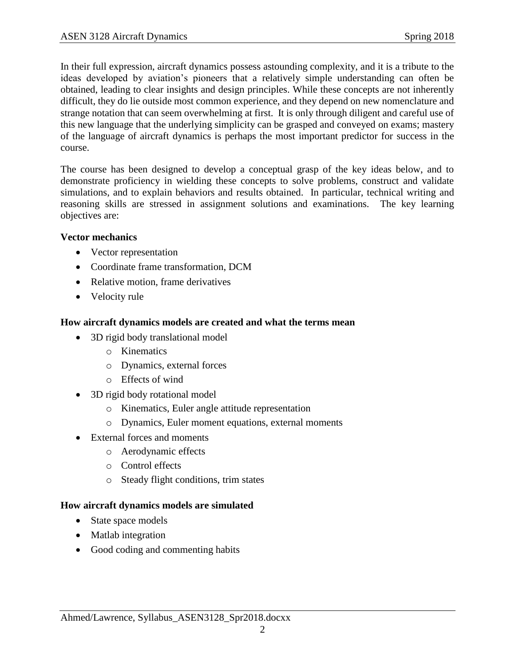In their full expression, aircraft dynamics possess astounding complexity, and it is a tribute to the ideas developed by aviation's pioneers that a relatively simple understanding can often be obtained, leading to clear insights and design principles. While these concepts are not inherently difficult, they do lie outside most common experience, and they depend on new nomenclature and strange notation that can seem overwhelming at first. It is only through diligent and careful use of this new language that the underlying simplicity can be grasped and conveyed on exams; mastery of the language of aircraft dynamics is perhaps the most important predictor for success in the course.

The course has been designed to develop a conceptual grasp of the key ideas below, and to demonstrate proficiency in wielding these concepts to solve problems, construct and validate simulations, and to explain behaviors and results obtained. In particular, technical writing and reasoning skills are stressed in assignment solutions and examinations. The key learning objectives are:

#### **Vector mechanics**

- Vector representation
- Coordinate frame transformation, DCM
- Relative motion, frame derivatives
- Velocity rule

#### **How aircraft dynamics models are created and what the terms mean**

- 3D rigid body translational model
	- o Kinematics
	- o Dynamics, external forces
	- o Effects of wind
- 3D rigid body rotational model
	- o Kinematics, Euler angle attitude representation
	- o Dynamics, Euler moment equations, external moments
- External forces and moments
	- o Aerodynamic effects
	- o Control effects
	- o Steady flight conditions, trim states

### **How aircraft dynamics models are simulated**

- State space models
- Matlab integration
- Good coding and commenting habits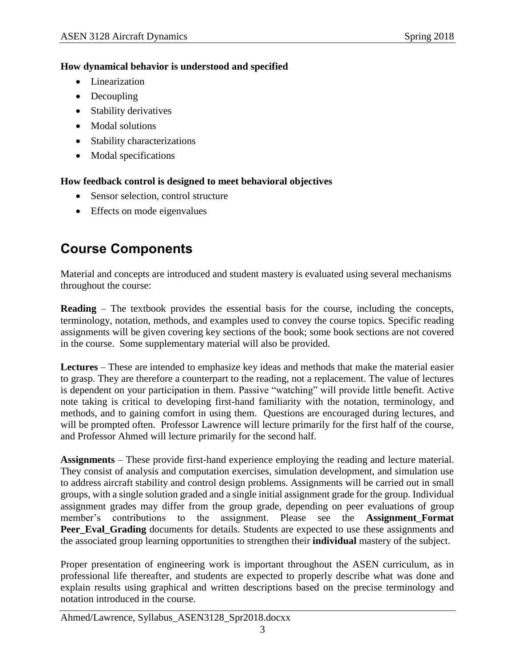### **How dynamical behavior is understood and specified**

- Linearization
- Decoupling
- Stability derivatives
- Modal solutions
- Stability characterizations
- Modal specifications

### **How feedback control is designed to meet behavioral objectives**

- Sensor selection, control structure
- Effects on mode eigenvalues

# **Course Components**

Material and concepts are introduced and student mastery is evaluated using several mechanisms throughout the course:

**Reading** – The textbook provides the essential basis for the course, including the concepts, terminology, notation, methods, and examples used to convey the course topics. Specific reading assignments will be given covering key sections of the book; some book sections are not covered in the course. Some supplementary material will also be provided.

**Lectures** – These are intended to emphasize key ideas and methods that make the material easier to grasp. They are therefore a counterpart to the reading, not a replacement. The value of lectures is dependent on your participation in them. Passive "watching" will provide little benefit. Active note taking is critical to developing first-hand familiarity with the notation, terminology, and methods, and to gaining comfort in using them. Questions are encouraged during lectures, and will be prompted often. Professor Lawrence will lecture primarily for the first half of the course, and Professor Ahmed will lecture primarily for the second half.

**Assignments** – These provide first-hand experience employing the reading and lecture material. They consist of analysis and computation exercises, simulation development, and simulation use to address aircraft stability and control design problems. Assignments will be carried out in small groups, with a single solution graded and a single initial assignment grade for the group. Individual assignment grades may differ from the group grade, depending on peer evaluations of group member's contributions to the assignment. Please see the **Assignment Format Peer\_Eval\_Grading** documents for details. Students are expected to use these assignments and the associated group learning opportunities to strengthen their **individual** mastery of the subject.

Proper presentation of engineering work is important throughout the ASEN curriculum, as in professional life thereafter, and students are expected to properly describe what was done and explain results using graphical and written descriptions based on the precise terminology and notation introduced in the course.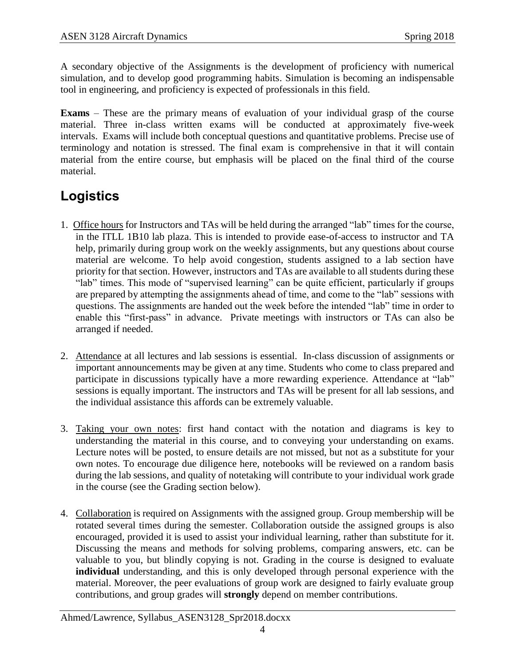A secondary objective of the Assignments is the development of proficiency with numerical simulation, and to develop good programming habits. Simulation is becoming an indispensable tool in engineering, and proficiency is expected of professionals in this field.

**Exams** – These are the primary means of evaluation of your individual grasp of the course material. Three in-class written exams will be conducted at approximately five-week intervals. Exams will include both conceptual questions and quantitative problems. Precise use of terminology and notation is stressed. The final exam is comprehensive in that it will contain material from the entire course, but emphasis will be placed on the final third of the course material.

## **Logistics**

- 1. Office hours for Instructors and TAs will be held during the arranged "lab" times for the course, in the ITLL 1B10 lab plaza. This is intended to provide ease-of-access to instructor and TA help, primarily during group work on the weekly assignments, but any questions about course material are welcome. To help avoid congestion, students assigned to a lab section have priority for that section. However, instructors and TAs are available to all students during these "lab" times. This mode of "supervised learning" can be quite efficient, particularly if groups are prepared by attempting the assignments ahead of time, and come to the "lab" sessions with questions. The assignments are handed out the week before the intended "lab" time in order to enable this "first-pass" in advance. Private meetings with instructors or TAs can also be arranged if needed.
- 2. Attendance at all lectures and lab sessions is essential. In-class discussion of assignments or important announcements may be given at any time. Students who come to class prepared and participate in discussions typically have a more rewarding experience. Attendance at "lab" sessions is equally important. The instructors and TAs will be present for all lab sessions, and the individual assistance this affords can be extremely valuable.
- 3. Taking your own notes: first hand contact with the notation and diagrams is key to understanding the material in this course, and to conveying your understanding on exams. Lecture notes will be posted, to ensure details are not missed, but not as a substitute for your own notes. To encourage due diligence here, notebooks will be reviewed on a random basis during the lab sessions, and quality of notetaking will contribute to your individual work grade in the course (see the Grading section below).
- 4. Collaboration is required on Assignments with the assigned group. Group membership will be rotated several times during the semester. Collaboration outside the assigned groups is also encouraged, provided it is used to assist your individual learning, rather than substitute for it. Discussing the means and methods for solving problems, comparing answers, etc. can be valuable to you, but blindly copying is not. Grading in the course is designed to evaluate **individual** understanding, and this is only developed through personal experience with the material. Moreover, the peer evaluations of group work are designed to fairly evaluate group contributions, and group grades will **strongly** depend on member contributions.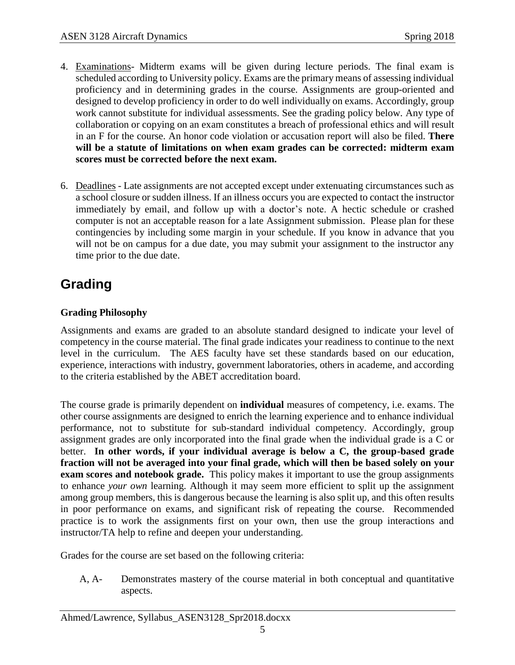- 4. Examinations- Midterm exams will be given during lecture periods. The final exam is scheduled according to University policy. Exams are the primary means of assessing individual proficiency and in determining grades in the course. Assignments are group-oriented and designed to develop proficiency in order to do well individually on exams. Accordingly, group work cannot substitute for individual assessments. See the grading policy below. Any type of collaboration or copying on an exam constitutes a breach of professional ethics and will result in an F for the course. An honor code violation or accusation report will also be filed. **There will be a statute of limitations on when exam grades can be corrected: midterm exam scores must be corrected before the next exam.**
- 6. Deadlines Late assignments are not accepted except under extenuating circumstances such as a school closure or sudden illness. If an illness occurs you are expected to contact the instructor immediately by email, and follow up with a doctor's note. A hectic schedule or crashed computer is not an acceptable reason for a late Assignment submission. Please plan for these contingencies by including some margin in your schedule. If you know in advance that you will not be on campus for a due date, you may submit your assignment to the instructor any time prior to the due date.

### **Grading**

### **Grading Philosophy**

Assignments and exams are graded to an absolute standard designed to indicate your level of competency in the course material. The final grade indicates your readiness to continue to the next level in the curriculum. The AES faculty have set these standards based on our education, experience, interactions with industry, government laboratories, others in academe, and according to the criteria established by the ABET accreditation board.

The course grade is primarily dependent on **individual** measures of competency, i.e. exams. The other course assignments are designed to enrich the learning experience and to enhance individual performance, not to substitute for sub-standard individual competency. Accordingly, group assignment grades are only incorporated into the final grade when the individual grade is a C or better. **In other words, if your individual average is below a C, the group-based grade fraction will not be averaged into your final grade, which will then be based solely on your exam scores and notebook grade.** This policy makes it important to use the group assignments to enhance *your own* learning. Although it may seem more efficient to split up the assignment among group members, this is dangerous because the learning is also split up, and this often results in poor performance on exams, and significant risk of repeating the course. Recommended practice is to work the assignments first on your own, then use the group interactions and instructor/TA help to refine and deepen your understanding.

Grades for the course are set based on the following criteria:

A, A- Demonstrates mastery of the course material in both conceptual and quantitative aspects.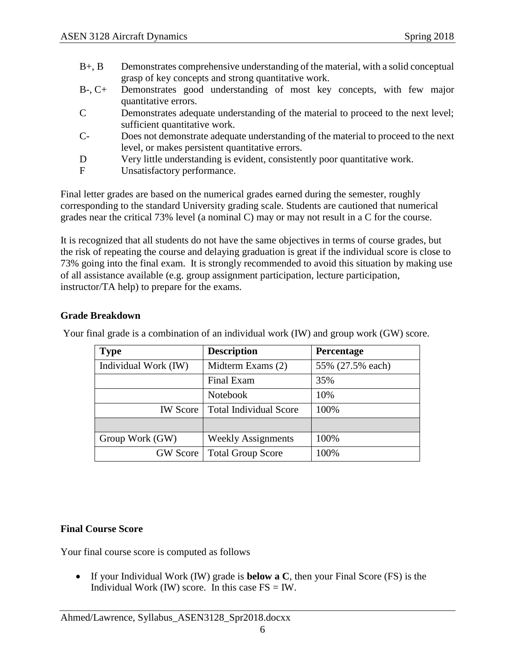- B+, B Demonstrates comprehensive understanding of the material, with a solid conceptual grasp of key concepts and strong quantitative work.
- B-, C+ Demonstrates good understanding of most key concepts, with few major quantitative errors.
- C Demonstrates adequate understanding of the material to proceed to the next level; sufficient quantitative work.
- C- Does not demonstrate adequate understanding of the material to proceed to the next level, or makes persistent quantitative errors.
- D Very little understanding is evident, consistently poor quantitative work.
- F Unsatisfactory performance.

Final letter grades are based on the numerical grades earned during the semester, roughly corresponding to the standard University grading scale. Students are cautioned that numerical grades near the critical 73% level (a nominal C) may or may not result in a C for the course.

It is recognized that all students do not have the same objectives in terms of course grades, but the risk of repeating the course and delaying graduation is great if the individual score is close to 73% going into the final exam. It is strongly recommended to avoid this situation by making use of all assistance available (e.g. group assignment participation, lecture participation, instructor/TA help) to prepare for the exams.

#### **Grade Breakdown**

| <b>Type</b>          | <b>Description</b>            | Percentage       |
|----------------------|-------------------------------|------------------|
| Individual Work (IW) | Midterm Exams (2)             | 55% (27.5% each) |
|                      | Final Exam                    | 35%              |
|                      | <b>Notebook</b>               | 10%              |
| <b>IW</b> Score      | <b>Total Individual Score</b> | 100%             |
|                      |                               |                  |
| Group Work (GW)      | <b>Weekly Assignments</b>     | 100%             |
| <b>GW</b> Score      | <b>Total Group Score</b>      | 100%             |

Your final grade is a combination of an individual work (IW) and group work (GW) score.

#### **Final Course Score**

Your final course score is computed as follows

• If your Individual Work (IW) grade is **below a C**, then your Final Score (FS) is the Individual Work (IW) score. In this case  $FS = IW$ .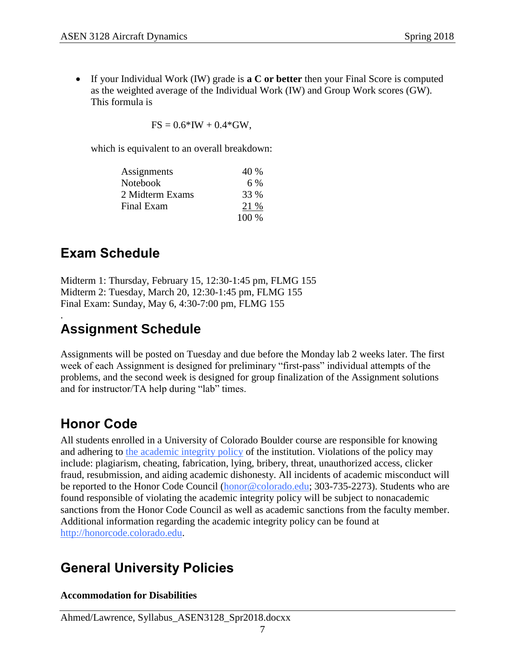• If your Individual Work (IW) grade is **a C or better** then your Final Score is computed as the weighted average of the Individual Work (IW) and Group Work scores (GW). This formula is

 $FS = 0.6*IW + 0.4*GW$ ,

which is equivalent to an overall breakdown:

| Assignments     | 40 %    |
|-----------------|---------|
| Notebook        | 6 %     |
| 2 Midterm Exams | 33 %    |
| Final Exam      | 21 %    |
|                 | $100\%$ |

### **Exam Schedule**

Midterm 1: Thursday, February 15, 12:30-1:45 pm, FLMG 155 Midterm 2: Tuesday, March 20, 12:30-1:45 pm, FLMG 155 Final Exam: Sunday, May 6, 4:30-7:00 pm, FLMG 155

### . **Assignment Schedule**

Assignments will be posted on Tuesday and due before the Monday lab 2 weeks later. The first week of each Assignment is designed for preliminary "first-pass" individual attempts of the problems, and the second week is designed for group finalization of the Assignment solutions and for instructor/TA help during "lab" times.

### **Honor Code**

All students enrolled in a University of Colorado Boulder course are responsible for knowing and adhering to [the academic integrity policy](http://www.alumniconnections.com/links/link.cgi?l=6835160&h=6451&e=UCBI-20151203180101) of the institution. Violations of the policy may include: plagiarism, cheating, fabrication, lying, bribery, threat, unauthorized access, clicker fraud, resubmission, and aiding academic dishonesty. All incidents of academic misconduct will be reported to the Honor Code Council [\(honor@colorado.edu;](mailto:honor@colorado.edu) 303-735-2273). Students who are found responsible of violating the academic integrity policy will be subject to nonacademic sanctions from the Honor Code Council as well as academic sanctions from the faculty member. Additional information regarding the academic integrity policy can be found at [http://honorcode.colorado.edu.](http://www.alumniconnections.com/links/link.cgi?l=6835161&h=6451&e=UCBI-20151203180101)

## **General University Policies**

**Accommodation for Disabilities**

Ahmed/Lawrence, Syllabus\_ASEN3128\_Spr2018.docxx